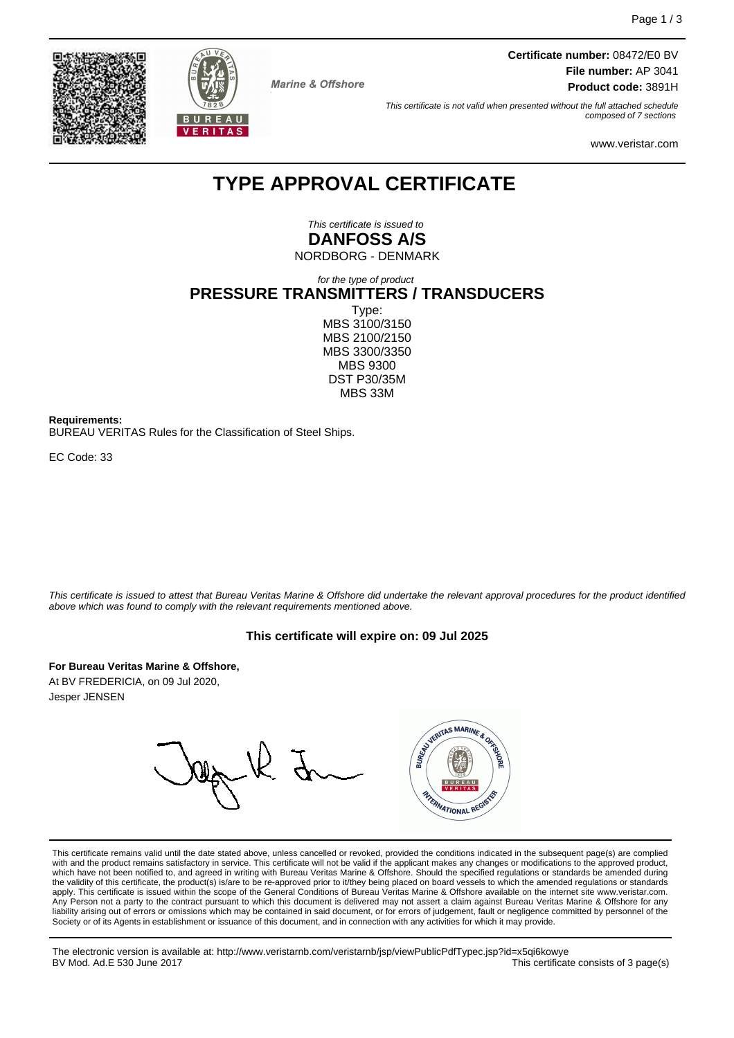



**Marine & Offshore** 

**Certificate number:** 08472/E0 BV **File number:** AP 3041 **Product code:** 3891H

This certificate is not valid when presented without the full attached schedule composed of 7 sections

www.veristar.com

# **TYPE APPROVAL CERTIFICATE**

This certificate is issued to **DANFOSS A/S**

NORDBORG - DENMARK

for the type of product **PRESSURE TRANSMITTERS / TRANSDUCERS** Type: MBS 3100/3150 MBS 2100/2150 MBS 3300/3350 MBS 9300 DST P30/35M MBS 33M

**Requirements:**

BUREAU VERITAS Rules for the Classification of Steel Ships.

EC Code: 33

This certificate is issued to attest that Bureau Veritas Marine & Offshore did undertake the relevant approval procedures for the product identified above which was found to comply with the relevant requirements mentioned above.

# **This certificate will expire on: 09 Jul 2025**

**For Bureau Veritas Marine & Offshore,**

At BV FREDERICIA, on 09 Jul 2020, Jesper JENSEN

WATERITAS MARINE & ORTIC FRANATIONAL REGIS

This certificate remains valid until the date stated above, unless cancelled or revoked, provided the conditions indicated in the subsequent page(s) are complied with and the product remains satisfactory in service. This certificate will not be valid if the applicant makes any changes or modifications to the approved product, which have not been notified to, and agreed in writing with Bureau Veritas Marine & Offshore. Should the specified regulations or standards be amended during<br>the validity of this certificate, the product(s) is/are to be re apply. This certificate is issued within the scope of the General Conditions of Bureau Veritas Marine & Offshore available on the internet site www.veristar.com. Any Person not a party to the contract pursuant to which this document is delivered may not assert a claim against Bureau Veritas Marine & Offshore for any liability arising out of errors or omissions which may be contained in said document, or for errors of judgement, fault or negligence committed by personnel of the<br>Society or of its Agents in establishment or issuance of t

The electronic version is available at: http://www.veristarnb.com/veristarnb/jsp/viewPublicPdfTypec.jsp?id=x5qi6kowye This certificate consists of 3 page(s)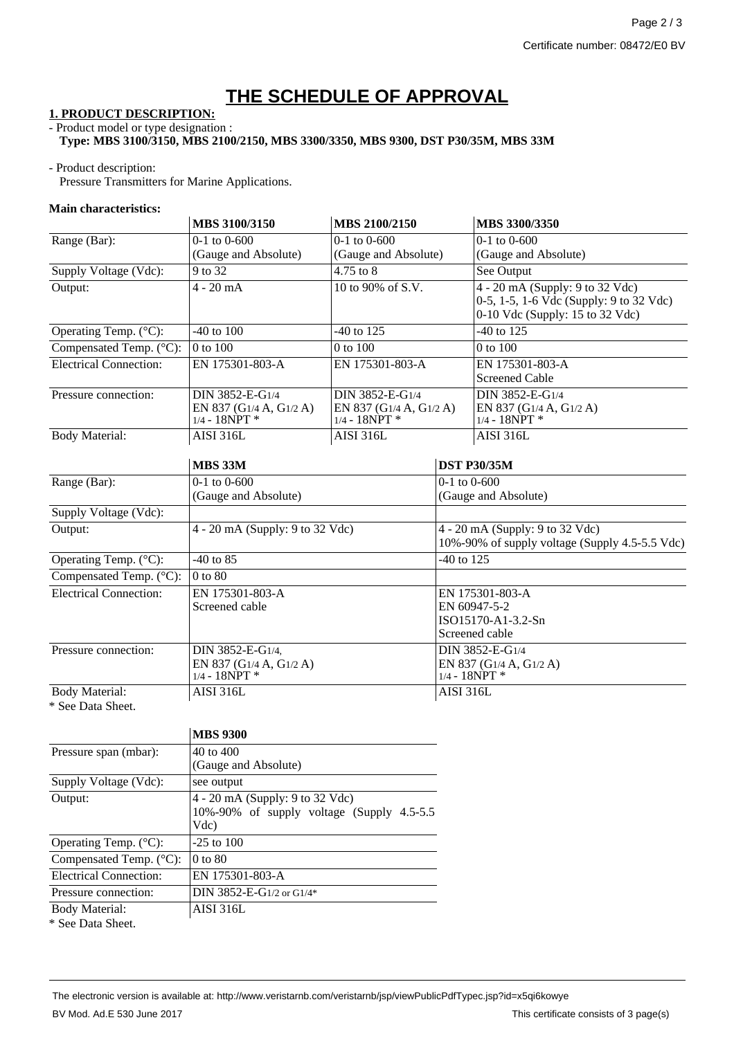# **THE SCHEDULE OF APPROVAL**

# **1. PRODUCT DESCRIPTION:**

#### - Product model or type designation : **Type: MBS 3100/3150, MBS 2100/2150, MBS 3300/3350, MBS 9300, DST P30/35M, MBS 33M**

# - Product description:

Pressure Transmitters for Marine Applications.

# **Main characteristics:**

|                               | MBS 3100/3150                                                  | MBS 2100/2150                                                 |                                                                                   | MBS 3300/3350                                                                                                   |
|-------------------------------|----------------------------------------------------------------|---------------------------------------------------------------|-----------------------------------------------------------------------------------|-----------------------------------------------------------------------------------------------------------------|
| Range (Bar):                  | $0-1$ to $0-600$                                               | $0-1$ to $0-600$                                              |                                                                                   | $0-1$ to $0-600$                                                                                                |
|                               | (Gauge and Absolute)                                           | (Gauge and Absolute)                                          |                                                                                   | (Gauge and Absolute)                                                                                            |
| Supply Voltage (Vdc):         | 9 to 32                                                        | 4.75 to 8                                                     |                                                                                   | See Output                                                                                                      |
| Output:                       | $4 - 20$ mA                                                    | 10 to 90% of S.V.                                             |                                                                                   | $4 - 20$ mA (Supply: 9 to 32 Vdc)<br>0-5, 1-5, 1-6 Vdc (Supply: 9 to 32 Vdc)<br>0-10 Vdc (Supply: 15 to 32 Vdc) |
| Operating Temp. (°C):         | $-40$ to $100$<br>$-40$ to 125                                 |                                                               | $-40$ to 125                                                                      |                                                                                                                 |
| Compensated Temp. (°C):       | 0 to 100                                                       | 0 to 100                                                      |                                                                                   | 0 to 100                                                                                                        |
| <b>Electrical Connection:</b> | EN 175301-803-A                                                | EN 175301-803-A                                               |                                                                                   | EN 175301-803-A<br><b>Screened Cable</b>                                                                        |
| Pressure connection:          | DIN 3852-E-G1/4<br>EN 837 (G1/4 A, G1/2 A)<br>$1/4 - 18NPT$ *  | DIN 3852-E-G1/4<br>EN 837 (G1/4 A, G1/2 A)<br>$1/4 - 18NPT$ * |                                                                                   | DIN 3852-E-G1/4<br>EN 837 (G1/4 A, G1/2 A)<br>$1/4 - 18NPT$ *                                                   |
| <b>Body Material:</b>         | <b>AISI 316L</b>                                               | AISI 316L                                                     |                                                                                   | <b>AISI 316L</b>                                                                                                |
|                               | <b>MBS 33M</b>                                                 |                                                               |                                                                                   | <b>DST P30/35M</b>                                                                                              |
| Range (Bar):                  | $0-1$ to $0-600$                                               |                                                               | $0-1$ to $0-600$                                                                  |                                                                                                                 |
|                               | (Gauge and Absolute)                                           |                                                               | (Gauge and Absolute)                                                              |                                                                                                                 |
| Supply Voltage (Vdc):         |                                                                |                                                               |                                                                                   |                                                                                                                 |
| Output:                       | 4 - 20 mA (Supply: 9 to 32 Vdc)                                |                                                               | 4 - 20 mA (Supply: 9 to 32 Vdc)<br>10%-90% of supply voltage (Supply 4.5-5.5 Vdc) |                                                                                                                 |
| Operating Temp. (°C):         | $-40$ to 85                                                    |                                                               | $-40$ to 125                                                                      |                                                                                                                 |
| Compensated Temp. (°C):       | $0$ to $80$                                                    |                                                               |                                                                                   |                                                                                                                 |
| <b>Electrical Connection:</b> | EN 175301-803-A<br>Screened cable                              |                                                               | EN 175301-803-A<br>EN 60947-5-2<br>ISO15170-A1-3.2-Sn<br>Screened cable           |                                                                                                                 |
| Pressure connection:          | DIN 3852-E-G1/4.<br>EN 837 (G1/4 A, G1/2 A)<br>$1/4 - 18NPT$ * |                                                               | DIN 3852-E-G1/4<br>EN 837 (G1/4 A, G1/2 A)<br>$1/4 - 18NPT$ *                     |                                                                                                                 |
| <b>Body Material:</b>         | <b>AISI 316L</b>                                               |                                                               | <b>AISI 316L</b>                                                                  |                                                                                                                 |
| * See Data Sheet.             |                                                                |                                                               |                                                                                   |                                                                                                                 |

|                                   | <b>MBS 9300</b>                                                                       |  |  |  |
|-----------------------------------|---------------------------------------------------------------------------------------|--|--|--|
| Pressure span (mbar):             | 40 to 400                                                                             |  |  |  |
|                                   | (Gauge and Absolute)                                                                  |  |  |  |
| Supply Voltage (Vdc):             | see output                                                                            |  |  |  |
| Output:                           | 4 - 20 mA (Supply: 9 to 32 Vdc)<br>10%-90% of supply voltage (Supply 4.5-5.5)<br>Vdc) |  |  |  |
| Operating Temp. $(^{\circ}C)$ :   | $-25$ to 100                                                                          |  |  |  |
| Compensated Temp. $(^{\circ}C)$ : | $0$ to $80$                                                                           |  |  |  |
| Electrical Connection:            | EN 175301-803-A                                                                       |  |  |  |
| Pressure connection:              | DIN 3852-E-G1/2 or G1/4*                                                              |  |  |  |
| <b>Body Material:</b>             | AISI 316L                                                                             |  |  |  |
| * See Data Sheet.                 |                                                                                       |  |  |  |

The electronic version is available at: http://www.veristarnb.com/veristarnb/jsp/viewPublicPdfTypec.jsp?id=x5qi6kowye